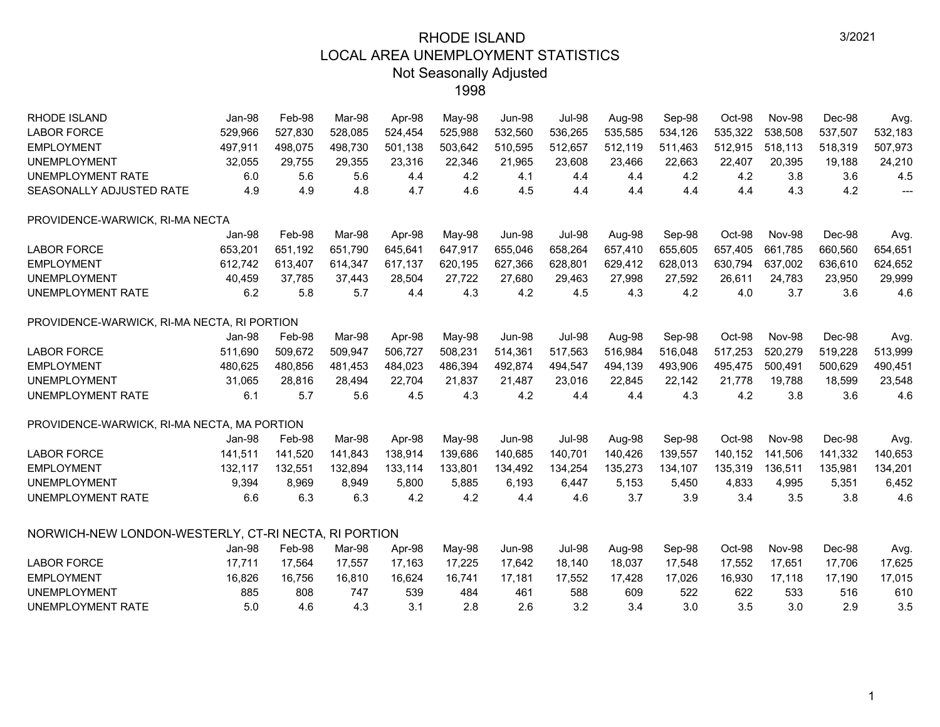| <b>RHODE ISLAND</b>                                  | Jan-98  | Feb-98  | Mar-98  | Apr-98  | May-98  | <b>Jun-98</b> | <b>Jul-98</b> | Aug-98  | Sep-98  | Oct-98  | <b>Nov-98</b> | Dec-98  | Avg.                     |
|------------------------------------------------------|---------|---------|---------|---------|---------|---------------|---------------|---------|---------|---------|---------------|---------|--------------------------|
| <b>LABOR FORCE</b>                                   | 529,966 | 527,830 | 528.085 | 524,454 | 525.988 | 532,560       | 536,265       | 535.585 | 534,126 | 535,322 | 538.508       | 537,507 | 532,183                  |
| <b>EMPLOYMENT</b>                                    | 497,911 | 498,075 | 498,730 | 501,138 | 503,642 | 510,595       | 512,657       | 512,119 | 511,463 | 512,915 | 518,113       | 518,319 | 507,973                  |
| <b>UNEMPLOYMENT</b>                                  | 32,055  | 29,755  | 29,355  | 23,316  | 22,346  | 21,965        | 23,608        | 23,466  | 22,663  | 22,407  | 20,395        | 19,188  | 24,210                   |
| UNEMPLOYMENT RATE                                    | 6.0     | 5.6     | 5.6     | 4.4     | 4.2     | 4.1           | 4.4           | 4.4     | 4.2     | 4.2     | 3.8           | 3.6     | 4.5                      |
| SEASONALLY ADJUSTED RATE                             | 4.9     | 4.9     | 4.8     | 4.7     | 4.6     | 4.5           | 4.4           | 4.4     | 4.4     | 4.4     | 4.3           | 4.2     | $\overline{\phantom{a}}$ |
| PROVIDENCE-WARWICK, RI-MA NECTA                      |         |         |         |         |         |               |               |         |         |         |               |         |                          |
|                                                      | Jan-98  | Feb-98  | Mar-98  | Apr-98  | May-98  | <b>Jun-98</b> | <b>Jul-98</b> | Aug-98  | Sep-98  | Oct-98  | <b>Nov-98</b> | Dec-98  | Avg.                     |
| <b>LABOR FORCE</b>                                   | 653,201 | 651,192 | 651,790 | 645,641 | 647,917 | 655,046       | 658,264       | 657,410 | 655,605 | 657,405 | 661,785       | 660,560 | 654,651                  |
| <b>EMPLOYMENT</b>                                    | 612,742 | 613,407 | 614,347 | 617,137 | 620,195 | 627,366       | 628,801       | 629,412 | 628,013 | 630,794 | 637,002       | 636,610 | 624,652                  |
| <b>UNEMPLOYMENT</b>                                  | 40,459  | 37,785  | 37,443  | 28,504  | 27,722  | 27,680        | 29,463        | 27,998  | 27,592  | 26,611  | 24,783        | 23,950  | 29,999                   |
| UNEMPLOYMENT RATE                                    | 6.2     | 5.8     | 5.7     | 4.4     | 4.3     | 4.2           | 4.5           | 4.3     | 4.2     | 4.0     | 3.7           | 3.6     | 4.6                      |
| PROVIDENCE-WARWICK, RI-MA NECTA, RI PORTION          |         |         |         |         |         |               |               |         |         |         |               |         |                          |
|                                                      | Jan-98  | Feb-98  | Mar-98  | Apr-98  | May-98  | <b>Jun-98</b> | <b>Jul-98</b> | Aug-98  | Sep-98  | Oct-98  | <b>Nov-98</b> | Dec-98  | Avg.                     |
| <b>LABOR FORCE</b>                                   | 511,690 | 509,672 | 509,947 | 506,727 | 508,231 | 514,361       | 517,563       | 516,984 | 516,048 | 517,253 | 520,279       | 519,228 | 513,999                  |
| <b>EMPLOYMENT</b>                                    | 480,625 | 480,856 | 481,453 | 484,023 | 486,394 | 492,874       | 494,547       | 494,139 | 493,906 | 495,475 | 500,491       | 500,629 | 490,451                  |
| <b>UNEMPLOYMENT</b>                                  | 31,065  | 28,816  | 28,494  | 22,704  | 21,837  | 21,487        | 23,016        | 22,845  | 22,142  | 21,778  | 19,788        | 18,599  | 23,548                   |
| <b>UNEMPLOYMENT RATE</b>                             | 6.1     | 5.7     | 5.6     | 4.5     | 4.3     | 4.2           | 4.4           | 4.4     | 4.3     | 4.2     | 3.8           | 3.6     | 4.6                      |
| PROVIDENCE-WARWICK, RI-MA NECTA, MA PORTION          |         |         |         |         |         |               |               |         |         |         |               |         |                          |
|                                                      | Jan-98  | Feb-98  | Mar-98  | Apr-98  | May-98  | <b>Jun-98</b> | <b>Jul-98</b> | Aug-98  | Sep-98  | Oct-98  | <b>Nov-98</b> | Dec-98  | Avg.                     |
| <b>LABOR FORCE</b>                                   | 141,511 | 141,520 | 141.843 | 138,914 | 139,686 | 140,685       | 140,701       | 140,426 | 139,557 | 140,152 | 141,506       | 141,332 | 140,653                  |
| <b>EMPLOYMENT</b>                                    | 132,117 | 132,551 | 132,894 | 133,114 | 133,801 | 134,492       | 134,254       | 135,273 | 134,107 | 135,319 | 136,511       | 135,981 | 134,201                  |
| <b>UNEMPLOYMENT</b>                                  | 9,394   | 8,969   | 8,949   | 5,800   | 5,885   | 6,193         | 6,447         | 5,153   | 5,450   | 4,833   | 4,995         | 5,351   | 6,452                    |
| <b>UNEMPLOYMENT RATE</b>                             | 6.6     | 6.3     | 6.3     | 4.2     | 4.2     | 4.4           | 4.6           | 3.7     | 3.9     | 3.4     | 3.5           | 3.8     | 4.6                      |
| NORWICH-NEW LONDON-WESTERLY, CT-RI NECTA, RI PORTION |         |         |         |         |         |               |               |         |         |         |               |         |                          |
|                                                      | Jan-98  | Feb-98  | Mar-98  | Apr-98  | May-98  | <b>Jun-98</b> | <b>Jul-98</b> | Aug-98  | Sep-98  | Oct-98  | <b>Nov-98</b> | Dec-98  | Avg.                     |
| <b>LABOR FORCE</b>                                   | 17,711  | 17,564  | 17,557  | 17,163  | 17,225  | 17,642        | 18,140        | 18,037  | 17,548  | 17,552  | 17,651        | 17,706  | 17,625                   |
| <b>EMPLOYMENT</b>                                    | 16,826  | 16,756  | 16,810  | 16,624  | 16,741  | 17,181        | 17,552        | 17,428  | 17,026  | 16,930  | 17,118        | 17,190  | 17,015                   |
| <b>UNEMPLOYMENT</b>                                  | 885     | 808     | 747     | 539     | 484     | 461           | 588           | 609     | 522     | 622     | 533           | 516     | 610                      |
| <b>UNEMPLOYMENT RATE</b>                             | 5.0     | 4.6     | 4.3     | 3.1     | 2.8     | 2.6           | 3.2           | 3.4     | 3.0     | 3.5     | 3.0           | 2.9     | 3.5                      |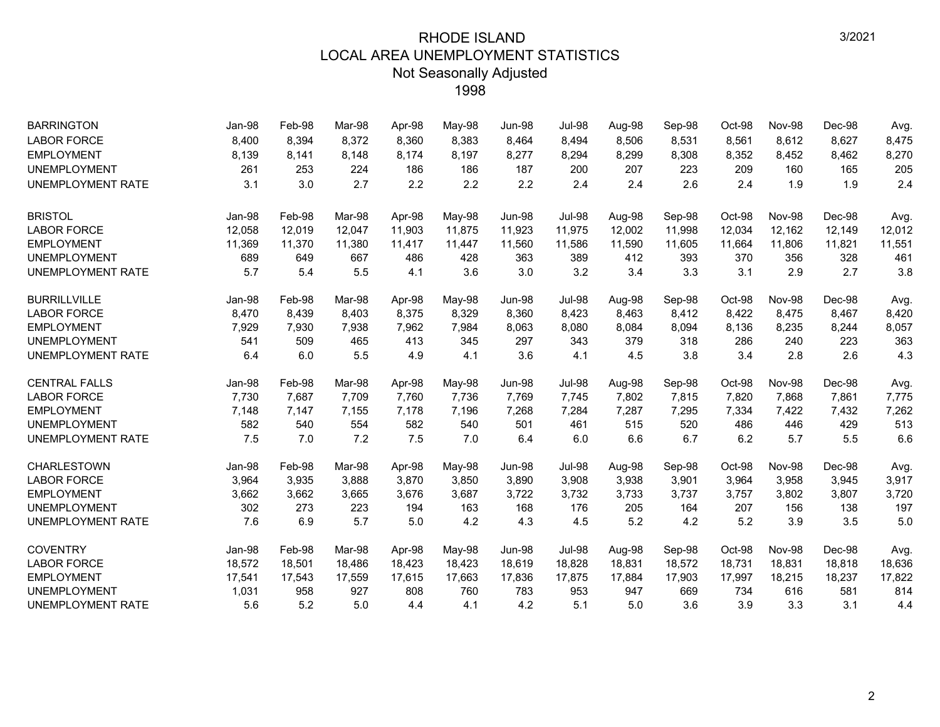| <b>BARRINGTON</b>        | Jan-98 | Feb-98 | Mar-98 | Apr-98 | May-98 | <b>Jun-98</b> | <b>Jul-98</b> | Aug-98 | Sep-98 | Oct-98 | <b>Nov-98</b> | Dec-98 | Avg.   |
|--------------------------|--------|--------|--------|--------|--------|---------------|---------------|--------|--------|--------|---------------|--------|--------|
| <b>LABOR FORCE</b>       | 8,400  | 8,394  | 8,372  | 8,360  | 8,383  | 8,464         | 8,494         | 8,506  | 8,531  | 8,561  | 8,612         | 8,627  | 8,475  |
| <b>EMPLOYMENT</b>        | 8,139  | 8,141  | 8,148  | 8,174  | 8,197  | 8,277         | 8,294         | 8,299  | 8,308  | 8,352  | 8,452         | 8,462  | 8,270  |
| <b>UNEMPLOYMENT</b>      | 261    | 253    | 224    | 186    | 186    | 187           | 200           | 207    | 223    | 209    | 160           | 165    | 205    |
| UNEMPLOYMENT RATE        | 3.1    | 3.0    | 2.7    | 2.2    | 2.2    | 2.2           | 2.4           | 2.4    | 2.6    | 2.4    | 1.9           | 1.9    | 2.4    |
| <b>BRISTOL</b>           | Jan-98 | Feb-98 | Mar-98 | Apr-98 | May-98 | Jun-98        | <b>Jul-98</b> | Aug-98 | Sep-98 | Oct-98 | Nov-98        | Dec-98 | Avg.   |
| <b>LABOR FORCE</b>       | 12,058 | 12,019 | 12,047 | 11,903 | 11,875 | 11,923        | 11,975        | 12,002 | 11,998 | 12,034 | 12,162        | 12,149 | 12,012 |
| <b>EMPLOYMENT</b>        | 11,369 | 11,370 | 11,380 | 11,417 | 11,447 | 11,560        | 11,586        | 11,590 | 11,605 | 11,664 | 11,806        | 11,821 | 11,551 |
| <b>UNEMPLOYMENT</b>      | 689    | 649    | 667    | 486    | 428    | 363           | 389           | 412    | 393    | 370    | 356           | 328    | 461    |
| <b>UNEMPLOYMENT RATE</b> | 5.7    | 5.4    | 5.5    | 4.1    | 3.6    | 3.0           | 3.2           | 3.4    | 3.3    | 3.1    | 2.9           | 2.7    | 3.8    |
| <b>BURRILLVILLE</b>      | Jan-98 | Feb-98 | Mar-98 | Apr-98 | May-98 | <b>Jun-98</b> | <b>Jul-98</b> | Aug-98 | Sep-98 | Oct-98 | Nov-98        | Dec-98 | Avg.   |
| <b>LABOR FORCE</b>       | 8,470  | 8,439  | 8,403  | 8,375  | 8,329  | 8,360         | 8,423         | 8,463  | 8,412  | 8,422  | 8,475         | 8,467  | 8,420  |
| <b>EMPLOYMENT</b>        | 7,929  | 7,930  | 7,938  | 7,962  | 7,984  | 8,063         | 8,080         | 8,084  | 8,094  | 8,136  | 8,235         | 8,244  | 8,057  |
| <b>UNEMPLOYMENT</b>      | 541    | 509    | 465    | 413    | 345    | 297           | 343           | 379    | 318    | 286    | 240           | 223    | 363    |
| UNEMPLOYMENT RATE        | 6.4    | 6.0    | 5.5    | 4.9    | 4.1    | 3.6           | 4.1           | 4.5    | 3.8    | 3.4    | 2.8           | 2.6    | 4.3    |
| <b>CENTRAL FALLS</b>     | Jan-98 | Feb-98 | Mar-98 | Apr-98 | May-98 | <b>Jun-98</b> | <b>Jul-98</b> | Aug-98 | Sep-98 | Oct-98 | Nov-98        | Dec-98 | Avg.   |
| <b>LABOR FORCE</b>       | 7,730  | 7,687  | 7,709  | 7,760  | 7,736  | 7,769         | 7,745         | 7,802  | 7,815  | 7,820  | 7,868         | 7,861  | 7,775  |
| <b>EMPLOYMENT</b>        | 7,148  | 7,147  | 7,155  | 7,178  | 7,196  | 7,268         | 7,284         | 7,287  | 7,295  | 7,334  | 7,422         | 7,432  | 7,262  |
| <b>UNEMPLOYMENT</b>      | 582    | 540    | 554    | 582    | 540    | 501           | 461           | 515    | 520    | 486    | 446           | 429    | 513    |
| UNEMPLOYMENT RATE        | 7.5    | 7.0    | 7.2    | 7.5    | 7.0    | 6.4           | 6.0           | 6.6    | 6.7    | 6.2    | 5.7           | 5.5    | 6.6    |
| <b>CHARLESTOWN</b>       | Jan-98 | Feb-98 | Mar-98 | Apr-98 | May-98 | <b>Jun-98</b> | <b>Jul-98</b> | Aug-98 | Sep-98 | Oct-98 | Nov-98        | Dec-98 | Avg.   |
| <b>LABOR FORCE</b>       | 3,964  | 3,935  | 3,888  | 3,870  | 3,850  | 3,890         | 3,908         | 3,938  | 3,901  | 3,964  | 3,958         | 3,945  | 3,917  |
| <b>EMPLOYMENT</b>        | 3,662  | 3,662  | 3,665  | 3,676  | 3,687  | 3,722         | 3,732         | 3,733  | 3,737  | 3,757  | 3,802         | 3,807  | 3,720  |
| <b>UNEMPLOYMENT</b>      | 302    | 273    | 223    | 194    | 163    | 168           | 176           | 205    | 164    | 207    | 156           | 138    | 197    |
| UNEMPLOYMENT RATE        | 7.6    | 6.9    | 5.7    | 5.0    | 4.2    | 4.3           | 4.5           | 5.2    | 4.2    | 5.2    | 3.9           | 3.5    | 5.0    |
| <b>COVENTRY</b>          | Jan-98 | Feb-98 | Mar-98 | Apr-98 | May-98 | <b>Jun-98</b> | <b>Jul-98</b> | Aug-98 | Sep-98 | Oct-98 | Nov-98        | Dec-98 | Avg.   |
| <b>LABOR FORCE</b>       | 18,572 | 18,501 | 18,486 | 18,423 | 18,423 | 18,619        | 18,828        | 18,831 | 18,572 | 18,731 | 18,831        | 18,818 | 18,636 |
| <b>EMPLOYMENT</b>        | 17,541 | 17,543 | 17,559 | 17,615 | 17,663 | 17,836        | 17,875        | 17,884 | 17,903 | 17,997 | 18,215        | 18,237 | 17,822 |
| <b>UNEMPLOYMENT</b>      | 1,031  | 958    | 927    | 808    | 760    | 783           | 953           | 947    | 669    | 734    | 616           | 581    | 814    |
| UNEMPLOYMENT RATE        | 5.6    | 5.2    | 5.0    | 4.4    | 4.1    | 4.2           | 5.1           | 5.0    | 3.6    | 3.9    | 3.3           | 3.1    | 4.4    |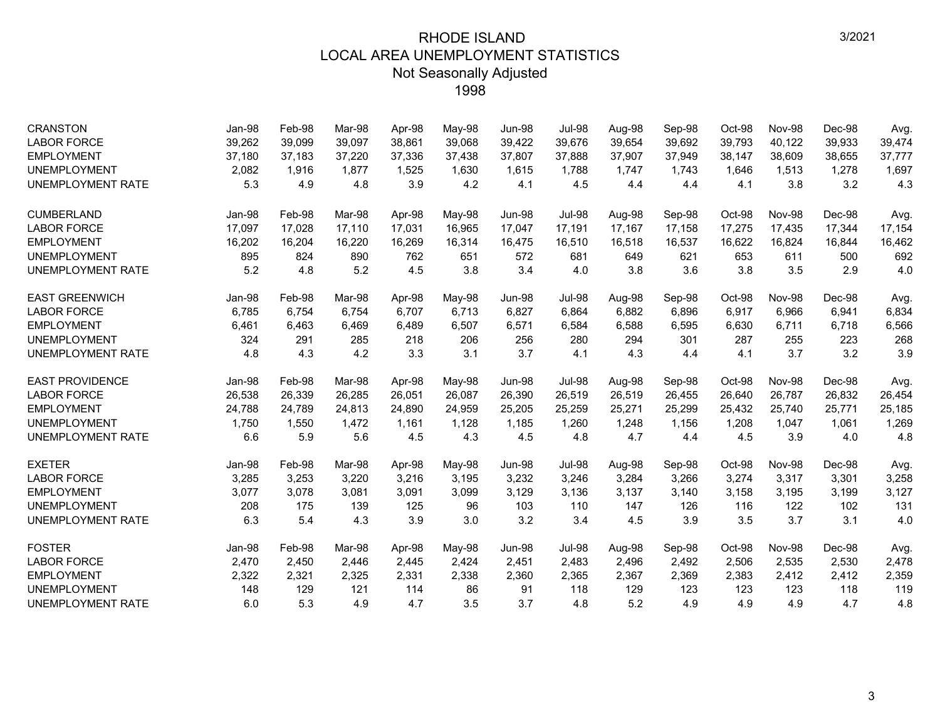| <b>CRANSTON</b>          | Jan-98 | Feb-98 | Mar-98 | Apr-98 | May-98 | <b>Jun-98</b> | <b>Jul-98</b> | Aug-98 | Sep-98 | Oct-98 | <b>Nov-98</b> | Dec-98 | Avg.   |
|--------------------------|--------|--------|--------|--------|--------|---------------|---------------|--------|--------|--------|---------------|--------|--------|
| <b>LABOR FORCE</b>       | 39,262 | 39,099 | 39,097 | 38,861 | 39,068 | 39,422        | 39,676        | 39,654 | 39,692 | 39,793 | 40,122        | 39,933 | 39,474 |
| <b>EMPLOYMENT</b>        | 37,180 | 37,183 | 37,220 | 37,336 | 37,438 | 37,807        | 37,888        | 37,907 | 37,949 | 38,147 | 38,609        | 38,655 | 37,777 |
| <b>UNEMPLOYMENT</b>      | 2,082  | 1,916  | 1.877  | 1,525  | 1,630  | 1,615         | 1.788         | 1,747  | 1,743  | 1,646  | 1,513         | 1,278  | 1,697  |
| <b>UNEMPLOYMENT RATE</b> | 5.3    | 4.9    | 4.8    | 3.9    | 4.2    | 4.1           | 4.5           | 4.4    | 4.4    | 4.1    | 3.8           | 3.2    | 4.3    |
| <b>CUMBERLAND</b>        | Jan-98 | Feb-98 | Mar-98 | Apr-98 | May-98 | <b>Jun-98</b> | <b>Jul-98</b> | Aug-98 | Sep-98 | Oct-98 | Nov-98        | Dec-98 | Avg.   |
| <b>LABOR FORCE</b>       | 17,097 | 17,028 | 17,110 | 17,031 | 16,965 | 17,047        | 17,191        | 17,167 | 17,158 | 17,275 | 17,435        | 17,344 | 17,154 |
| <b>EMPLOYMENT</b>        | 16,202 | 16,204 | 16,220 | 16,269 | 16,314 | 16,475        | 16,510        | 16,518 | 16,537 | 16,622 | 16,824        | 16,844 | 16,462 |
| <b>UNEMPLOYMENT</b>      | 895    | 824    | 890    | 762    | 651    | 572           | 681           | 649    | 621    | 653    | 611           | 500    | 692    |
| UNEMPLOYMENT RATE        | 5.2    | 4.8    | 5.2    | 4.5    | 3.8    | 3.4           | 4.0           | 3.8    | 3.6    | 3.8    | 3.5           | 2.9    | 4.0    |
| <b>EAST GREENWICH</b>    | Jan-98 | Feb-98 | Mar-98 | Apr-98 | May-98 | <b>Jun-98</b> | <b>Jul-98</b> | Aug-98 | Sep-98 | Oct-98 | <b>Nov-98</b> | Dec-98 | Avg.   |
| <b>LABOR FORCE</b>       | 6,785  | 6,754  | 6,754  | 6,707  | 6,713  | 6,827         | 6,864         | 6,882  | 6,896  | 6,917  | 6,966         | 6,941  | 6,834  |
| <b>EMPLOYMENT</b>        | 6,461  | 6,463  | 6,469  | 6,489  | 6,507  | 6,571         | 6,584         | 6,588  | 6,595  | 6,630  | 6,711         | 6,718  | 6,566  |
| <b>UNEMPLOYMENT</b>      | 324    | 291    | 285    | 218    | 206    | 256           | 280           | 294    | 301    | 287    | 255           | 223    | 268    |
| UNEMPLOYMENT RATE        | 4.8    | 4.3    | 4.2    | 3.3    | 3.1    | 3.7           | 4.1           | 4.3    | 4.4    | 4.1    | 3.7           | 3.2    | 3.9    |
| <b>EAST PROVIDENCE</b>   | Jan-98 | Feb-98 | Mar-98 | Apr-98 | May-98 | <b>Jun-98</b> | <b>Jul-98</b> | Aug-98 | Sep-98 | Oct-98 | <b>Nov-98</b> | Dec-98 | Avg.   |
| <b>LABOR FORCE</b>       | 26,538 | 26,339 | 26,285 | 26,051 | 26,087 | 26,390        | 26,519        | 26,519 | 26,455 | 26,640 | 26,787        | 26,832 | 26,454 |
| <b>EMPLOYMENT</b>        | 24,788 | 24,789 | 24,813 | 24,890 | 24,959 | 25,205        | 25,259        | 25,271 | 25,299 | 25,432 | 25,740        | 25,771 | 25,185 |
| <b>UNEMPLOYMENT</b>      | 1,750  | 1,550  | 1,472  | 1,161  | 1,128  | 1,185         | 1,260         | 1,248  | 1,156  | 1,208  | 1,047         | 1,061  | 1,269  |
| UNEMPLOYMENT RATE        | 6.6    | 5.9    | 5.6    | 4.5    | 4.3    | 4.5           | 4.8           | 4.7    | 4.4    | 4.5    | 3.9           | 4.0    | 4.8    |
| <b>EXETER</b>            | Jan-98 | Feb-98 | Mar-98 | Apr-98 | May-98 | <b>Jun-98</b> | <b>Jul-98</b> | Aug-98 | Sep-98 | Oct-98 | <b>Nov-98</b> | Dec-98 | Avg.   |
| <b>LABOR FORCE</b>       | 3,285  | 3,253  | 3,220  | 3,216  | 3,195  | 3,232         | 3,246         | 3,284  | 3,266  | 3,274  | 3,317         | 3,301  | 3,258  |
| <b>EMPLOYMENT</b>        | 3,077  | 3,078  | 3,081  | 3,091  | 3,099  | 3,129         | 3,136         | 3,137  | 3,140  | 3,158  | 3,195         | 3,199  | 3,127  |
| <b>UNEMPLOYMENT</b>      | 208    | 175    | 139    | 125    | 96     | 103           | 110           | 147    | 126    | 116    | 122           | 102    | 131    |
| UNEMPLOYMENT RATE        | 6.3    | 5.4    | 4.3    | 3.9    | 3.0    | 3.2           | 3.4           | 4.5    | 3.9    | 3.5    | 3.7           | 3.1    | 4.0    |
| <b>FOSTER</b>            | Jan-98 | Feb-98 | Mar-98 | Apr-98 | May-98 | <b>Jun-98</b> | <b>Jul-98</b> | Aug-98 | Sep-98 | Oct-98 | <b>Nov-98</b> | Dec-98 | Avg.   |
| <b>LABOR FORCE</b>       | 2,470  | 2,450  | 2,446  | 2,445  | 2,424  | 2,451         | 2,483         | 2,496  | 2,492  | 2,506  | 2,535         | 2,530  | 2,478  |
| <b>EMPLOYMENT</b>        | 2,322  | 2,321  | 2,325  | 2,331  | 2,338  | 2,360         | 2,365         | 2,367  | 2,369  | 2,383  | 2,412         | 2,412  | 2,359  |
| <b>UNEMPLOYMENT</b>      | 148    | 129    | 121    | 114    | 86     | 91            | 118           | 129    | 123    | 123    | 123           | 118    | 119    |
| UNEMPLOYMENT RATE        | 6.0    | 5.3    | 4.9    | 4.7    | 3.5    | 3.7           | 4.8           | 5.2    | 4.9    | 4.9    | 4.9           | 4.7    | 4.8    |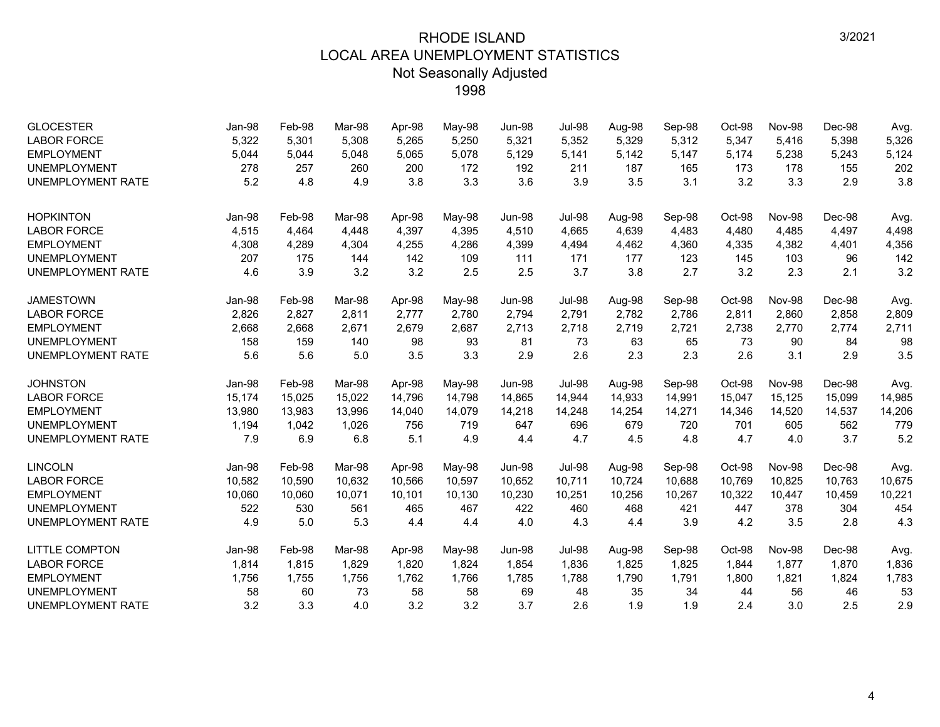| <b>GLOCESTER</b><br><b>LABOR FORCE</b><br><b>EMPLOYMENT</b><br><b>UNEMPLOYMENT</b> | Jan-98<br>5,322<br>5,044<br>278 | Feb-98<br>5,301<br>5,044<br>257 | Mar-98<br>5,308<br>5,048<br>260 | Apr-98<br>5,265<br>5,065<br>200 | May-98<br>5,250<br>5,078<br>172 | <b>Jun-98</b><br>5,321<br>5,129<br>192 | <b>Jul-98</b><br>5,352<br>5,141<br>211 | Aug-98<br>5,329<br>5,142<br>187 | Sep-98<br>5,312<br>5,147<br>165 | Oct-98<br>5,347<br>5,174<br>173 | <b>Nov-98</b><br>5,416<br>5,238<br>178 | Dec-98<br>5,398<br>5,243<br>155 | Avg.<br>5,326<br>5,124<br>202 |
|------------------------------------------------------------------------------------|---------------------------------|---------------------------------|---------------------------------|---------------------------------|---------------------------------|----------------------------------------|----------------------------------------|---------------------------------|---------------------------------|---------------------------------|----------------------------------------|---------------------------------|-------------------------------|
| <b>UNEMPLOYMENT RATE</b>                                                           | 5.2                             | 4.8                             | 4.9                             | 3.8                             | 3.3                             | 3.6                                    | 3.9                                    | 3.5                             | 3.1                             | 3.2                             | 3.3                                    | 2.9                             | 3.8                           |
| <b>HOPKINTON</b>                                                                   | Jan-98                          | Feb-98                          | Mar-98                          | Apr-98                          | May-98                          | Jun-98                                 | <b>Jul-98</b>                          | Aug-98                          | Sep-98                          | Oct-98                          | <b>Nov-98</b>                          | Dec-98                          | Avg.                          |
| <b>LABOR FORCE</b>                                                                 | 4,515                           | 4,464                           | 4.448                           | 4,397                           | 4,395                           | 4,510                                  | 4,665                                  | 4,639                           | 4,483                           | 4,480                           | 4,485                                  | 4,497                           | 4,498                         |
| <b>EMPLOYMENT</b>                                                                  | 4,308                           | 4,289                           | 4,304                           | 4,255                           | 4,286                           | 4,399                                  | 4,494                                  | 4,462                           | 4,360                           | 4,335                           | 4,382                                  | 4,401                           | 4,356                         |
| <b>UNEMPLOYMENT</b>                                                                | 207                             | 175                             | 144                             | 142                             | 109                             | 111                                    | 171                                    | 177                             | 123                             | 145                             | 103                                    | 96                              | 142                           |
| <b>UNEMPLOYMENT RATE</b>                                                           | 4.6                             | 3.9                             | 3.2                             | 3.2                             | 2.5                             | 2.5                                    | 3.7                                    | 3.8                             | 2.7                             | 3.2                             | 2.3                                    | 2.1                             | 3.2                           |
| <b>JAMESTOWN</b>                                                                   | Jan-98                          | Feb-98                          | Mar-98                          | Apr-98                          | May-98                          | <b>Jun-98</b>                          | <b>Jul-98</b>                          | Aug-98                          | Sep-98                          | Oct-98                          | Nov-98                                 | Dec-98                          | Avg.                          |
| <b>LABOR FORCE</b>                                                                 | 2,826                           | 2,827                           | 2,811                           | 2,777                           | 2,780                           | 2,794                                  | 2,791                                  | 2,782                           | 2,786                           | 2,811                           | 2,860                                  | 2,858                           | 2,809                         |
| <b>EMPLOYMENT</b>                                                                  | 2,668                           | 2,668                           | 2,671                           | 2,679                           | 2,687                           | 2,713                                  | 2,718                                  | 2,719                           | 2,721                           | 2,738                           | 2,770                                  | 2,774                           | 2,711                         |
| <b>UNEMPLOYMENT</b>                                                                | 158                             | 159                             | 140                             | 98                              | 93                              | 81                                     | 73                                     | 63                              | 65                              | 73                              | 90                                     | 84                              | 98                            |
| <b>UNEMPLOYMENT RATE</b>                                                           | 5.6                             | 5.6                             | 5.0                             | 3.5                             | 3.3                             | 2.9                                    | 2.6                                    | 2.3                             | 2.3                             | 2.6                             | 3.1                                    | 2.9                             | 3.5                           |
| <b>JOHNSTON</b>                                                                    | Jan-98                          | Feb-98                          | Mar-98                          | Apr-98                          | May-98                          | <b>Jun-98</b>                          | <b>Jul-98</b>                          | Aug-98                          | Sep-98                          | Oct-98                          | Nov-98                                 | Dec-98                          | Avg.                          |
| <b>LABOR FORCE</b>                                                                 | 15,174                          | 15,025                          | 15,022                          | 14,796                          | 14,798                          | 14,865                                 | 14,944                                 | 14,933                          | 14,991                          | 15,047                          | 15,125                                 | 15,099                          | 14,985                        |
| <b>EMPLOYMENT</b>                                                                  | 13,980                          | 13,983                          | 13,996                          | 14,040                          | 14,079                          | 14,218                                 | 14,248                                 | 14,254                          | 14,271                          | 14,346                          | 14,520                                 | 14,537                          | 14,206                        |
| <b>UNEMPLOYMENT</b>                                                                | 1,194                           | 1,042                           | 1,026                           | 756                             | 719                             | 647                                    | 696                                    | 679                             | 720                             | 701                             | 605                                    | 562                             | 779                           |
| <b>UNEMPLOYMENT RATE</b>                                                           | 7.9                             | 6.9                             | 6.8                             | 5.1                             | 4.9                             | 4.4                                    | 4.7                                    | 4.5                             | 4.8                             | 4.7                             | 4.0                                    | 3.7                             | 5.2                           |
| <b>LINCOLN</b>                                                                     | Jan-98                          | Feb-98                          | Mar-98                          | Apr-98                          | May-98                          | Jun-98                                 | <b>Jul-98</b>                          | Aug-98                          | Sep-98                          | Oct-98                          | <b>Nov-98</b>                          | Dec-98                          | Avg.                          |
| <b>LABOR FORCE</b>                                                                 | 10,582                          | 10,590                          | 10.632                          | 10.566                          | 10,597                          | 10,652                                 | 10.711                                 | 10,724                          | 10,688                          | 10,769                          | 10.825                                 | 10.763                          | 10,675                        |
| <b>EMPLOYMENT</b>                                                                  | 10,060                          | 10,060                          | 10,071                          | 10,101                          | 10,130                          | 10,230                                 | 10,251                                 | 10,256                          | 10,267                          | 10,322                          | 10,447                                 | 10,459                          | 10,221                        |
| <b>UNEMPLOYMENT</b>                                                                | 522                             | 530                             | 561                             | 465                             | 467                             | 422                                    | 460                                    | 468                             | 421                             | 447                             | 378                                    | 304                             | 454                           |
| <b>UNEMPLOYMENT RATE</b>                                                           | 4.9                             | 5.0                             | 5.3                             | 4.4                             | 4.4                             | 4.0                                    | 4.3                                    | 4.4                             | 3.9                             | 4.2                             | 3.5                                    | 2.8                             | 4.3                           |
| <b>LITTLE COMPTON</b>                                                              | Jan-98                          | Feb-98                          | Mar-98                          | Apr-98                          | May-98                          | Jun-98                                 | <b>Jul-98</b>                          | Aug-98                          | Sep-98                          | Oct-98                          | Nov-98                                 | Dec-98                          | Avg.                          |
| <b>LABOR FORCE</b>                                                                 | 1,814                           | 1,815                           | 1,829                           | 1,820                           | 1,824                           | 1,854                                  | 1,836                                  | 1,825                           | 1,825                           | 1,844                           | 1,877                                  | 1,870                           | 1,836                         |
| <b>EMPLOYMENT</b>                                                                  | 1,756                           | 1,755                           | 1,756                           | 1,762                           | 1,766                           | 1,785                                  | 1,788                                  | 1,790                           | 1,791                           | 1,800                           | 1,821                                  | 1,824                           | 1,783                         |
| <b>UNEMPLOYMENT</b>                                                                | 58                              | 60                              | 73                              | 58                              | 58                              | 69                                     | 48                                     | 35                              | 34                              | 44                              | 56                                     | 46                              | 53                            |
| <b>UNEMPLOYMENT RATE</b>                                                           | 3.2                             | 3.3                             | 4.0                             | 3.2                             | 3.2                             | 3.7                                    | 2.6                                    | 1.9                             | 1.9                             | 2.4                             | 3.0                                    | 2.5                             | 2.9                           |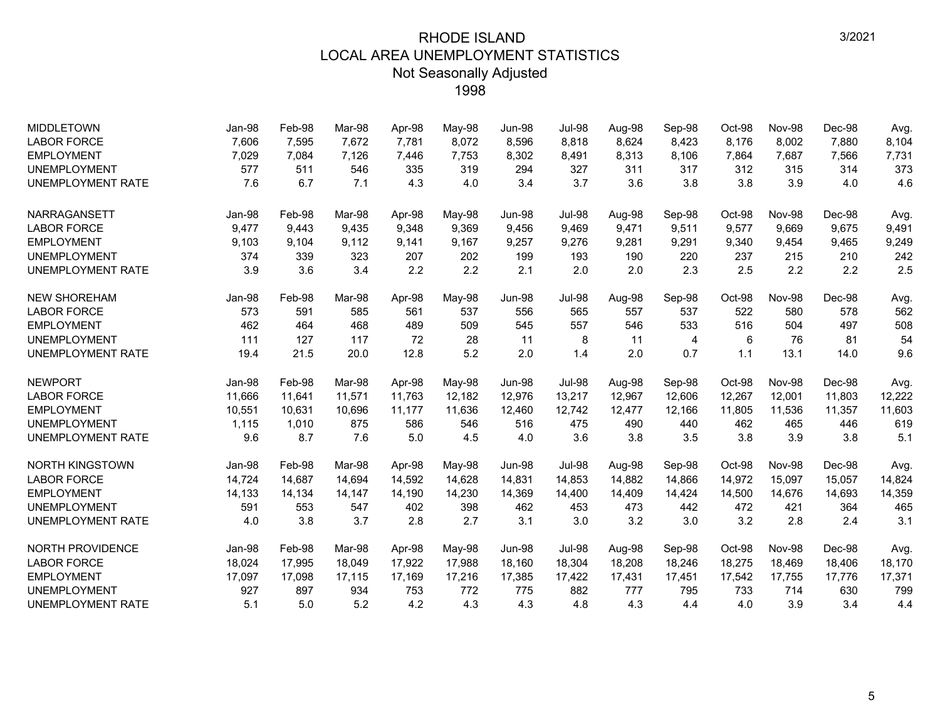| <b>MIDDLETOWN</b>        | Jan-98 | Feb-98 | Mar-98 | Apr-98 | May-98 | Jun-98        | <b>Jul-98</b> | Aug-98 | Sep-98 | Oct-98 | <b>Nov-98</b> | Dec-98 | Avg.   |
|--------------------------|--------|--------|--------|--------|--------|---------------|---------------|--------|--------|--------|---------------|--------|--------|
| <b>LABOR FORCE</b>       | 7,606  | 7,595  | 7,672  | 7,781  | 8,072  | 8,596         | 8,818         | 8,624  | 8,423  | 8,176  | 8,002         | 7,880  | 8,104  |
| <b>EMPLOYMENT</b>        | 7,029  | 7,084  | 7,126  | 7,446  | 7,753  | 8,302         | 8,491         | 8,313  | 8,106  | 7,864  | 7,687         | 7,566  | 7,731  |
| <b>UNEMPLOYMENT</b>      | 577    | 511    | 546    | 335    | 319    | 294           | 327           | 311    | 317    | 312    | 315           | 314    | 373    |
| <b>UNEMPLOYMENT RATE</b> | 7.6    | 6.7    | 7.1    | 4.3    | 4.0    | 3.4           | 3.7           | 3.6    | 3.8    | 3.8    | 3.9           | 4.0    | 4.6    |
| NARRAGANSETT             | Jan-98 | Feb-98 | Mar-98 | Apr-98 | May-98 | Jun-98        | <b>Jul-98</b> | Aug-98 | Sep-98 | Oct-98 | Nov-98        | Dec-98 | Avg.   |
| <b>LABOR FORCE</b>       | 9,477  | 9,443  | 9,435  | 9,348  | 9,369  | 9,456         | 9,469         | 9,471  | 9,511  | 9,577  | 9,669         | 9,675  | 9,491  |
| <b>EMPLOYMENT</b>        | 9,103  | 9,104  | 9.112  | 9,141  | 9,167  | 9,257         | 9,276         | 9,281  | 9,291  | 9,340  | 9,454         | 9,465  | 9,249  |
| <b>UNEMPLOYMENT</b>      | 374    | 339    | 323    | 207    | 202    | 199           | 193           | 190    | 220    | 237    | 215           | 210    | 242    |
| <b>UNEMPLOYMENT RATE</b> | 3.9    | 3.6    | 3.4    | 2.2    | 2.2    | 2.1           | 2.0           | 2.0    | 2.3    | 2.5    | 2.2           | 2.2    | 2.5    |
| <b>NEW SHOREHAM</b>      | Jan-98 | Feb-98 | Mar-98 | Apr-98 | May-98 | <b>Jun-98</b> | <b>Jul-98</b> | Aug-98 | Sep-98 | Oct-98 | <b>Nov-98</b> | Dec-98 | Avg.   |
| <b>LABOR FORCE</b>       | 573    | 591    | 585    | 561    | 537    | 556           | 565           | 557    | 537    | 522    | 580           | 578    | 562    |
| <b>EMPLOYMENT</b>        | 462    | 464    | 468    | 489    | 509    | 545           | 557           | 546    | 533    | 516    | 504           | 497    | 508    |
| <b>UNEMPLOYMENT</b>      | 111    | 127    | 117    | 72     | 28     | 11            | 8             | 11     | 4      | 6      | 76            | 81     | 54     |
| <b>UNEMPLOYMENT RATE</b> | 19.4   | 21.5   | 20.0   | 12.8   | 5.2    | 2.0           | 1.4           | 2.0    | 0.7    | 1.1    | 13.1          | 14.0   | 9.6    |
| <b>NEWPORT</b>           | Jan-98 | Feb-98 | Mar-98 | Apr-98 | May-98 | Jun-98        | <b>Jul-98</b> | Aug-98 | Sep-98 | Oct-98 | <b>Nov-98</b> | Dec-98 | Avg.   |
| <b>LABOR FORCE</b>       | 11,666 | 11,641 | 11,571 | 11,763 | 12,182 | 12,976        | 13,217        | 12,967 | 12,606 | 12,267 | 12,001        | 11,803 | 12,222 |
| <b>EMPLOYMENT</b>        | 10,551 | 10,631 | 10,696 | 11,177 | 11,636 | 12,460        | 12,742        | 12,477 | 12,166 | 11,805 | 11,536        | 11,357 | 11,603 |
| <b>UNEMPLOYMENT</b>      | 1,115  | 1,010  | 875    | 586    | 546    | 516           | 475           | 490    | 440    | 462    | 465           | 446    | 619    |
| <b>UNEMPLOYMENT RATE</b> | 9.6    | 8.7    | 7.6    | 5.0    | 4.5    | 4.0           | 3.6           | 3.8    | 3.5    | 3.8    | 3.9           | 3.8    | 5.1    |
| <b>NORTH KINGSTOWN</b>   | Jan-98 | Feb-98 | Mar-98 | Apr-98 | May-98 | Jun-98        | <b>Jul-98</b> | Aug-98 | Sep-98 | Oct-98 | Nov-98        | Dec-98 | Avg.   |
| <b>LABOR FORCE</b>       | 14,724 | 14,687 | 14.694 | 14,592 | 14,628 | 14,831        | 14,853        | 14,882 | 14,866 | 14,972 | 15,097        | 15,057 | 14,824 |
| <b>EMPLOYMENT</b>        | 14,133 | 14,134 | 14,147 | 14,190 | 14,230 | 14,369        | 14,400        | 14,409 | 14,424 | 14,500 | 14,676        | 14,693 | 14,359 |
| <b>UNEMPLOYMENT</b>      | 591    | 553    | 547    | 402    | 398    | 462           | 453           | 473    | 442    | 472    | 421           | 364    | 465    |
| <b>UNEMPLOYMENT RATE</b> | 4.0    | 3.8    | 3.7    | 2.8    | 2.7    | 3.1           | 3.0           | 3.2    | 3.0    | 3.2    | 2.8           | 2.4    | 3.1    |
| NORTH PROVIDENCE         | Jan-98 | Feb-98 | Mar-98 | Apr-98 | May-98 | <b>Jun-98</b> | <b>Jul-98</b> | Aug-98 | Sep-98 | Oct-98 | Nov-98        | Dec-98 | Avg.   |
| <b>LABOR FORCE</b>       | 18,024 | 17,995 | 18,049 | 17,922 | 17,988 | 18,160        | 18,304        | 18,208 | 18,246 | 18,275 | 18.469        | 18,406 | 18,170 |
| <b>EMPLOYMENT</b>        | 17,097 | 17,098 | 17,115 | 17,169 | 17,216 | 17,385        | 17,422        | 17,431 | 17,451 | 17,542 | 17,755        | 17,776 | 17,371 |
| <b>UNEMPLOYMENT</b>      | 927    | 897    | 934    | 753    | 772    | 775           | 882           | 777    | 795    | 733    | 714           | 630    | 799    |
| <b>UNEMPLOYMENT RATE</b> | 5.1    | 5.0    | 5.2    | 4.2    | 4.3    | 4.3           | 4.8           | 4.3    | 4.4    | 4.0    | 3.9           | 3.4    | 4.4    |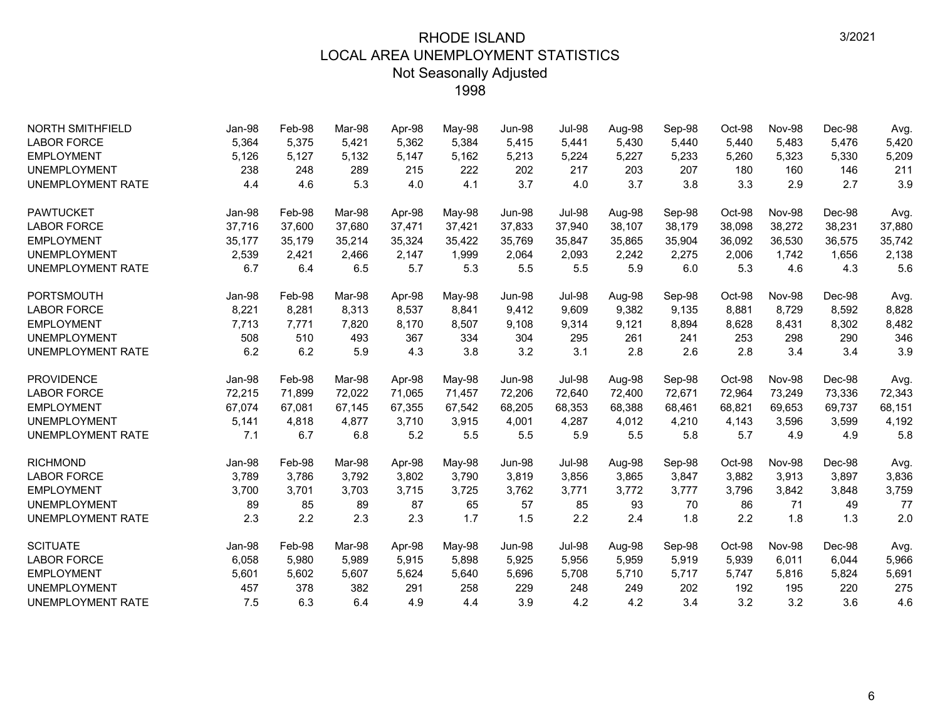| <b>NORTH SMITHFIELD</b>  | Jan-98 | Feb-98 | Mar-98 | Apr-98 | May-98 | Jun-98        | <b>Jul-98</b> | Aug-98 | Sep-98 | Oct-98 | <b>Nov-98</b> | Dec-98 | Avg.   |
|--------------------------|--------|--------|--------|--------|--------|---------------|---------------|--------|--------|--------|---------------|--------|--------|
| <b>LABOR FORCE</b>       | 5,364  | 5,375  | 5,421  | 5,362  | 5,384  | 5,415         | 5,441         | 5,430  | 5,440  | 5,440  | 5,483         | 5,476  | 5,420  |
| <b>EMPLOYMENT</b>        | 5,126  | 5,127  | 5,132  | 5,147  | 5,162  | 5,213         | 5,224         | 5,227  | 5,233  | 5,260  | 5,323         | 5,330  | 5,209  |
| <b>UNEMPLOYMENT</b>      | 238    | 248    | 289    | 215    | 222    | 202           | 217           | 203    | 207    | 180    | 160           | 146    | 211    |
| <b>UNEMPLOYMENT RATE</b> | 4.4    | 4.6    | 5.3    | 4.0    | 4.1    | 3.7           | 4.0           | 3.7    | 3.8    | 3.3    | 2.9           | 2.7    | 3.9    |
| <b>PAWTUCKET</b>         | Jan-98 | Feb-98 | Mar-98 | Apr-98 | May-98 | Jun-98        | <b>Jul-98</b> | Aug-98 | Sep-98 | Oct-98 | <b>Nov-98</b> | Dec-98 | Avg.   |
| <b>LABOR FORCE</b>       | 37,716 | 37,600 | 37,680 | 37,471 | 37,421 | 37,833        | 37,940        | 38,107 | 38,179 | 38,098 | 38,272        | 38,231 | 37,880 |
| <b>EMPLOYMENT</b>        | 35,177 | 35,179 | 35,214 | 35,324 | 35,422 | 35,769        | 35,847        | 35,865 | 35,904 | 36,092 | 36,530        | 36,575 | 35,742 |
| <b>UNEMPLOYMENT</b>      | 2,539  | 2,421  | 2,466  | 2,147  | 1,999  | 2,064         | 2,093         | 2,242  | 2,275  | 2,006  | 1,742         | 1,656  | 2,138  |
| <b>UNEMPLOYMENT RATE</b> | 6.7    | 6.4    | 6.5    | 5.7    | 5.3    | 5.5           | 5.5           | 5.9    | 6.0    | 5.3    | 4.6           | 4.3    | 5.6    |
| <b>PORTSMOUTH</b>        | Jan-98 | Feb-98 | Mar-98 | Apr-98 | May-98 | <b>Jun-98</b> | <b>Jul-98</b> | Aug-98 | Sep-98 | Oct-98 | <b>Nov-98</b> | Dec-98 | Avg.   |
| <b>LABOR FORCE</b>       | 8,221  | 8,281  | 8,313  | 8,537  | 8,841  | 9,412         | 9,609         | 9,382  | 9,135  | 8,881  | 8,729         | 8,592  | 8,828  |
| <b>EMPLOYMENT</b>        | 7,713  | 7,771  | 7,820  | 8,170  | 8,507  | 9,108         | 9,314         | 9,121  | 8,894  | 8,628  | 8,431         | 8,302  | 8,482  |
| <b>UNEMPLOYMENT</b>      | 508    | 510    | 493    | 367    | 334    | 304           | 295           | 261    | 241    | 253    | 298           | 290    | 346    |
| <b>UNEMPLOYMENT RATE</b> | 6.2    | 6.2    | 5.9    | 4.3    | 3.8    | 3.2           | 3.1           | 2.8    | 2.6    | 2.8    | 3.4           | 3.4    | 3.9    |
| <b>PROVIDENCE</b>        | Jan-98 | Feb-98 | Mar-98 | Apr-98 | May-98 | <b>Jun-98</b> | <b>Jul-98</b> | Aug-98 | Sep-98 | Oct-98 | <b>Nov-98</b> | Dec-98 | Avg.   |
| <b>LABOR FORCE</b>       | 72,215 | 71,899 | 72,022 | 71,065 | 71,457 | 72,206        | 72,640        | 72,400 | 72,671 | 72,964 | 73,249        | 73,336 | 72,343 |
| <b>EMPLOYMENT</b>        | 67,074 | 67,081 | 67,145 | 67,355 | 67,542 | 68,205        | 68,353        | 68,388 | 68,461 | 68,821 | 69,653        | 69,737 | 68,151 |
| <b>UNEMPLOYMENT</b>      | 5,141  | 4,818  | 4,877  | 3,710  | 3,915  | 4,001         | 4,287         | 4,012  | 4,210  | 4,143  | 3,596         | 3,599  | 4,192  |
| <b>UNEMPLOYMENT RATE</b> | 7.1    | 6.7    | 6.8    | 5.2    | 5.5    | 5.5           | 5.9           | 5.5    | 5.8    | 5.7    | 4.9           | 4.9    | 5.8    |
| <b>RICHMOND</b>          | Jan-98 | Feb-98 | Mar-98 | Apr-98 | May-98 | <b>Jun-98</b> | <b>Jul-98</b> | Aug-98 | Sep-98 | Oct-98 | <b>Nov-98</b> | Dec-98 | Avg.   |
| <b>LABOR FORCE</b>       | 3,789  | 3,786  | 3,792  | 3,802  | 3,790  | 3,819         | 3,856         | 3,865  | 3,847  | 3,882  | 3,913         | 3,897  | 3,836  |
| <b>EMPLOYMENT</b>        | 3,700  | 3,701  | 3,703  | 3,715  | 3,725  | 3,762         | 3,771         | 3,772  | 3,777  | 3,796  | 3,842         | 3,848  | 3,759  |
| <b>UNEMPLOYMENT</b>      | 89     | 85     | 89     | 87     | 65     | 57            | 85            | 93     | 70     | 86     | 71            | 49     | 77     |
| <b>UNEMPLOYMENT RATE</b> | 2.3    | 2.2    | 2.3    | 2.3    | 1.7    | 1.5           | 2.2           | 2.4    | 1.8    | 2.2    | 1.8           | 1.3    | 2.0    |
| <b>SCITUATE</b>          | Jan-98 | Feb-98 | Mar-98 | Apr-98 | May-98 | <b>Jun-98</b> | <b>Jul-98</b> | Aug-98 | Sep-98 | Oct-98 | <b>Nov-98</b> | Dec-98 | Avg.   |
| <b>LABOR FORCE</b>       | 6,058  | 5,980  | 5,989  | 5,915  | 5,898  | 5,925         | 5,956         | 5,959  | 5,919  | 5,939  | 6,011         | 6,044  | 5,966  |
| <b>EMPLOYMENT</b>        | 5,601  | 5,602  | 5,607  | 5,624  | 5,640  | 5,696         | 5,708         | 5,710  | 5,717  | 5,747  | 5,816         | 5,824  | 5,691  |
| <b>UNEMPLOYMENT</b>      | 457    | 378    | 382    | 291    | 258    | 229           | 248           | 249    | 202    | 192    | 195           | 220    | 275    |
| <b>UNEMPLOYMENT RATE</b> | 7.5    | 6.3    | 6.4    | 4.9    | 4.4    | 3.9           | 4.2           | 4.2    | 3.4    | 3.2    | 3.2           | 3.6    | 4.6    |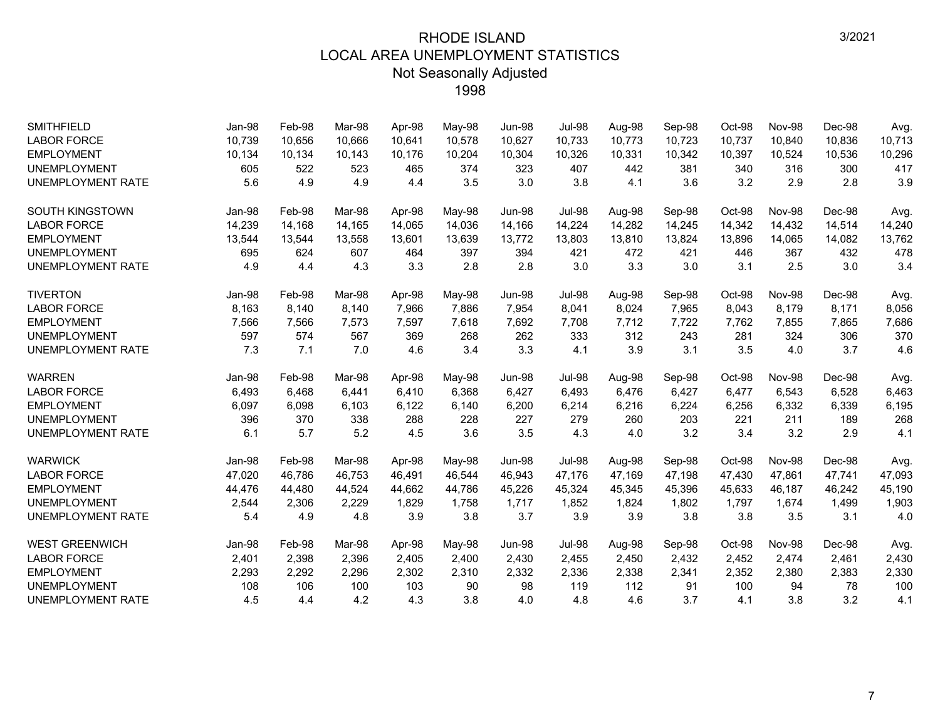| <b>SMITHFIELD</b>        | Jan-98 | Feb-98 | Mar-98 | Apr-98 | May-98 | <b>Jun-98</b> | <b>Jul-98</b> | Aug-98 | Sep-98 | Oct-98 | <b>Nov-98</b> | Dec-98 | Avg.   |
|--------------------------|--------|--------|--------|--------|--------|---------------|---------------|--------|--------|--------|---------------|--------|--------|
| <b>LABOR FORCE</b>       | 10,739 | 10,656 | 10.666 | 10,641 | 10,578 | 10,627        | 10,733        | 10,773 | 10,723 | 10,737 | 10,840        | 10,836 | 10,713 |
| <b>EMPLOYMENT</b>        | 10,134 | 10,134 | 10,143 | 10,176 | 10,204 | 10,304        | 10,326        | 10,331 | 10,342 | 10,397 | 10,524        | 10,536 | 10,296 |
| <b>UNEMPLOYMENT</b>      | 605    | 522    | 523    | 465    | 374    | 323           | 407           | 442    | 381    | 340    | 316           | 300    | 417    |
| <b>UNEMPLOYMENT RATE</b> | 5.6    | 4.9    | 4.9    | 4.4    | 3.5    | 3.0           | 3.8           | 4.1    | 3.6    | 3.2    | 2.9           | 2.8    | 3.9    |
| <b>SOUTH KINGSTOWN</b>   | Jan-98 | Feb-98 | Mar-98 | Apr-98 | May-98 | <b>Jun-98</b> | <b>Jul-98</b> | Aug-98 | Sep-98 | Oct-98 | <b>Nov-98</b> | Dec-98 | Avg.   |
| <b>LABOR FORCE</b>       | 14,239 | 14,168 | 14,165 | 14,065 | 14,036 | 14,166        | 14,224        | 14,282 | 14,245 | 14,342 | 14,432        | 14,514 | 14,240 |
| <b>EMPLOYMENT</b>        | 13,544 | 13,544 | 13,558 | 13,601 | 13,639 | 13,772        | 13,803        | 13,810 | 13,824 | 13,896 | 14,065        | 14,082 | 13,762 |
| <b>UNEMPLOYMENT</b>      | 695    | 624    | 607    | 464    | 397    | 394           | 421           | 472    | 421    | 446    | 367           | 432    | 478    |
| <b>UNEMPLOYMENT RATE</b> | 4.9    | 4.4    | 4.3    | 3.3    | 2.8    | 2.8           | 3.0           | 3.3    | 3.0    | 3.1    | 2.5           | 3.0    | 3.4    |
| <b>TIVERTON</b>          | Jan-98 | Feb-98 | Mar-98 | Apr-98 | May-98 | <b>Jun-98</b> | <b>Jul-98</b> | Aug-98 | Sep-98 | Oct-98 | <b>Nov-98</b> | Dec-98 | Avg.   |
| <b>LABOR FORCE</b>       | 8,163  | 8,140  | 8,140  | 7,966  | 7,886  | 7,954         | 8,041         | 8,024  | 7,965  | 8,043  | 8,179         | 8,171  | 8,056  |
| <b>EMPLOYMENT</b>        | 7,566  | 7,566  | 7,573  | 7,597  | 7,618  | 7,692         | 7,708         | 7,712  | 7,722  | 7,762  | 7,855         | 7,865  | 7,686  |
| <b>UNEMPLOYMENT</b>      | 597    | 574    | 567    | 369    | 268    | 262           | 333           | 312    | 243    | 281    | 324           | 306    | 370    |
| <b>UNEMPLOYMENT RATE</b> | 7.3    | 7.1    | 7.0    | 4.6    | 3.4    | 3.3           | 4.1           | 3.9    | 3.1    | 3.5    | 4.0           | 3.7    | 4.6    |
| <b>WARREN</b>            | Jan-98 | Feb-98 | Mar-98 | Apr-98 | May-98 | <b>Jun-98</b> | <b>Jul-98</b> | Aug-98 | Sep-98 | Oct-98 | <b>Nov-98</b> | Dec-98 | Avg.   |
| <b>LABOR FORCE</b>       | 6,493  | 6,468  | 6.441  | 6,410  | 6,368  | 6,427         | 6,493         | 6,476  | 6,427  | 6,477  | 6,543         | 6,528  | 6,463  |
| <b>EMPLOYMENT</b>        | 6,097  | 6,098  | 6,103  | 6,122  | 6,140  | 6,200         | 6,214         | 6,216  | 6,224  | 6,256  | 6,332         | 6,339  | 6,195  |
| <b>UNEMPLOYMENT</b>      | 396    | 370    | 338    | 288    | 228    | 227           | 279           | 260    | 203    | 221    | 211           | 189    | 268    |
| <b>UNEMPLOYMENT RATE</b> | 6.1    | 5.7    | 5.2    | 4.5    | 3.6    | 3.5           | 4.3           | 4.0    | 3.2    | 3.4    | 3.2           | 2.9    | 4.1    |
| <b>WARWICK</b>           | Jan-98 | Feb-98 | Mar-98 | Apr-98 | May-98 | <b>Jun-98</b> | <b>Jul-98</b> | Aug-98 | Sep-98 | Oct-98 | <b>Nov-98</b> | Dec-98 | Avg.   |
| <b>LABOR FORCE</b>       | 47,020 | 46,786 | 46.753 | 46,491 | 46,544 | 46,943        | 47,176        | 47,169 | 47,198 | 47,430 | 47,861        | 47,741 | 47,093 |
| <b>EMPLOYMENT</b>        | 44,476 | 44,480 | 44,524 | 44,662 | 44,786 | 45,226        | 45,324        | 45,345 | 45,396 | 45,633 | 46,187        | 46,242 | 45,190 |
| <b>UNEMPLOYMENT</b>      | 2,544  | 2,306  | 2,229  | 1,829  | 1,758  | 1,717         | 1,852         | 1,824  | 1,802  | 1,797  | 1,674         | 1,499  | 1,903  |
| UNEMPLOYMENT RATE        | 5.4    | 4.9    | 4.8    | 3.9    | 3.8    | 3.7           | 3.9           | 3.9    | 3.8    | 3.8    | 3.5           | 3.1    | 4.0    |
| <b>WEST GREENWICH</b>    | Jan-98 | Feb-98 | Mar-98 | Apr-98 | May-98 | <b>Jun-98</b> | <b>Jul-98</b> | Aug-98 | Sep-98 | Oct-98 | <b>Nov-98</b> | Dec-98 | Avg.   |
| <b>LABOR FORCE</b>       | 2,401  | 2,398  | 2,396  | 2,405  | 2,400  | 2,430         | 2,455         | 2,450  | 2,432  | 2,452  | 2,474         | 2,461  | 2,430  |
| <b>EMPLOYMENT</b>        | 2,293  | 2,292  | 2,296  | 2,302  | 2,310  | 2,332         | 2,336         | 2,338  | 2,341  | 2,352  | 2,380         | 2,383  | 2,330  |
| <b>UNEMPLOYMENT</b>      | 108    | 106    | 100    | 103    | 90     | 98            | 119           | 112    | 91     | 100    | 94            | 78     | 100    |
| <b>UNEMPLOYMENT RATE</b> | 4.5    | 4.4    | 4.2    | 4.3    | 3.8    | 4.0           | 4.8           | 4.6    | 3.7    | 4.1    | 3.8           | 3.2    | 4.1    |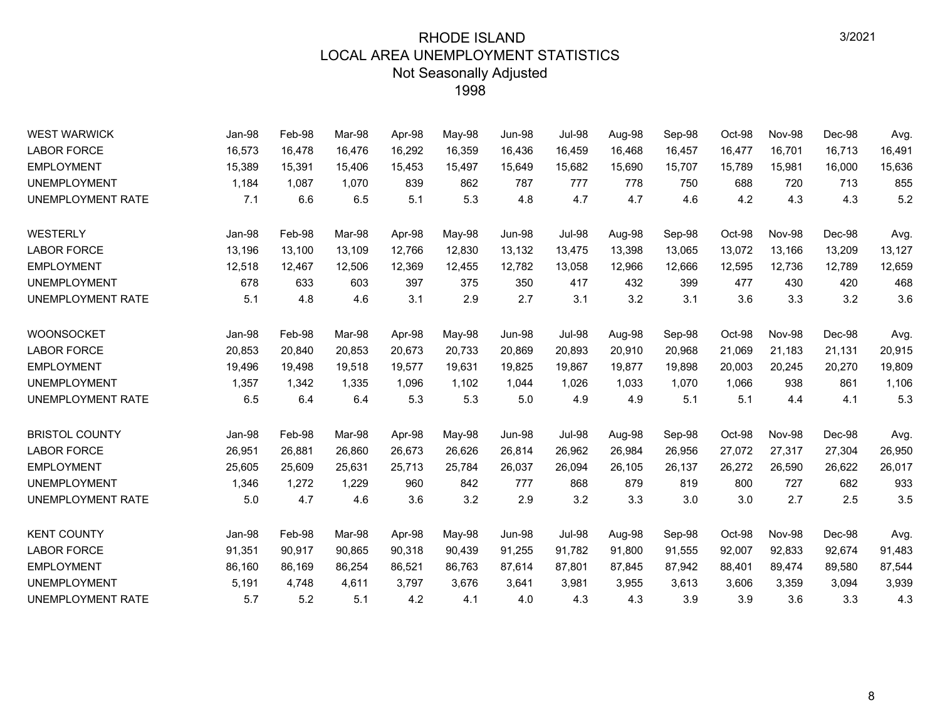| <b>WEST WARWICK</b>      | Jan-98 | Feb-98 | Mar-98 | Apr-98 | May-98 | <b>Jun-98</b> | <b>Jul-98</b> | Aug-98 | Sep-98 | Oct-98 | <b>Nov-98</b> | Dec-98 | Avg.   |
|--------------------------|--------|--------|--------|--------|--------|---------------|---------------|--------|--------|--------|---------------|--------|--------|
| <b>LABOR FORCE</b>       | 16,573 | 16,478 | 16,476 | 16,292 | 16,359 | 16,436        | 16,459        | 16,468 | 16,457 | 16,477 | 16,701        | 16,713 | 16,491 |
| <b>EMPLOYMENT</b>        | 15,389 | 15,391 | 15,406 | 15,453 | 15,497 | 15,649        | 15,682        | 15,690 | 15,707 | 15,789 | 15,981        | 16,000 | 15,636 |
| <b>UNEMPLOYMENT</b>      | 1,184  | 1,087  | 1.070  | 839    | 862    | 787           | 777           | 778    | 750    | 688    | 720           | 713    | 855    |
| <b>UNEMPLOYMENT RATE</b> | 7.1    | 6.6    | 6.5    | 5.1    | 5.3    | 4.8           | 4.7           | 4.7    | 4.6    | 4.2    | 4.3           | 4.3    | 5.2    |
| <b>WESTERLY</b>          | Jan-98 | Feb-98 | Mar-98 | Apr-98 | May-98 | <b>Jun-98</b> | <b>Jul-98</b> | Aug-98 | Sep-98 | Oct-98 | <b>Nov-98</b> | Dec-98 | Avg.   |
| <b>LABOR FORCE</b>       | 13,196 | 13,100 | 13,109 | 12,766 | 12,830 | 13,132        | 13,475        | 13,398 | 13,065 | 13,072 | 13,166        | 13,209 | 13,127 |
| <b>EMPLOYMENT</b>        | 12,518 | 12,467 | 12,506 | 12,369 | 12,455 | 12,782        | 13,058        | 12,966 | 12,666 | 12,595 | 12,736        | 12,789 | 12,659 |
| <b>UNEMPLOYMENT</b>      | 678    | 633    | 603    | 397    | 375    | 350           | 417           | 432    | 399    | 477    | 430           | 420    | 468    |
| UNEMPLOYMENT RATE        | 5.1    | 4.8    | 4.6    | 3.1    | 2.9    | 2.7           | 3.1           | 3.2    | 3.1    | 3.6    | 3.3           | 3.2    | 3.6    |
| <b>WOONSOCKET</b>        | Jan-98 | Feb-98 | Mar-98 | Apr-98 | May-98 | <b>Jun-98</b> | <b>Jul-98</b> | Aug-98 | Sep-98 | Oct-98 | <b>Nov-98</b> | Dec-98 | Avg.   |
| <b>LABOR FORCE</b>       | 20,853 | 20,840 | 20,853 | 20,673 | 20,733 | 20,869        | 20,893        | 20,910 | 20,968 | 21,069 | 21,183        | 21,131 | 20,915 |
| <b>EMPLOYMENT</b>        | 19,496 | 19,498 | 19,518 | 19,577 | 19,631 | 19,825        | 19,867        | 19,877 | 19,898 | 20,003 | 20,245        | 20,270 | 19,809 |
| <b>UNEMPLOYMENT</b>      | 1,357  | 1,342  | 1,335  | 1,096  | 1,102  | 1,044         | 1,026         | 1,033  | 1,070  | 1,066  | 938           | 861    | 1,106  |
| UNEMPLOYMENT RATE        | 6.5    | 6.4    | 6.4    | 5.3    | 5.3    | 5.0           | 4.9           | 4.9    | 5.1    | 5.1    | 4.4           | 4.1    | 5.3    |
| <b>BRISTOL COUNTY</b>    | Jan-98 | Feb-98 | Mar-98 | Apr-98 | May-98 | <b>Jun-98</b> | <b>Jul-98</b> | Aug-98 | Sep-98 | Oct-98 | <b>Nov-98</b> | Dec-98 | Avg.   |
| <b>LABOR FORCE</b>       | 26,951 | 26,881 | 26,860 | 26,673 | 26,626 | 26,814        | 26,962        | 26,984 | 26,956 | 27,072 | 27,317        | 27,304 | 26,950 |
| <b>EMPLOYMENT</b>        | 25,605 | 25,609 | 25,631 | 25,713 | 25,784 | 26,037        | 26,094        | 26,105 | 26,137 | 26,272 | 26,590        | 26,622 | 26,017 |
| <b>UNEMPLOYMENT</b>      | 1,346  | 1,272  | 1,229  | 960    | 842    | 777           | 868           | 879    | 819    | 800    | 727           | 682    | 933    |
| UNEMPLOYMENT RATE        | 5.0    | 4.7    | 4.6    | 3.6    | 3.2    | 2.9           | 3.2           | 3.3    | 3.0    | 3.0    | 2.7           | 2.5    | 3.5    |
| <b>KENT COUNTY</b>       | Jan-98 | Feb-98 | Mar-98 | Apr-98 | May-98 | <b>Jun-98</b> | <b>Jul-98</b> | Aug-98 | Sep-98 | Oct-98 | <b>Nov-98</b> | Dec-98 | Avg.   |
| <b>LABOR FORCE</b>       | 91,351 | 90,917 | 90,865 | 90,318 | 90,439 | 91,255        | 91,782        | 91,800 | 91,555 | 92,007 | 92,833        | 92,674 | 91,483 |
| <b>EMPLOYMENT</b>        | 86,160 | 86,169 | 86,254 | 86,521 | 86,763 | 87,614        | 87,801        | 87,845 | 87,942 | 88,401 | 89,474        | 89,580 | 87,544 |
| <b>UNEMPLOYMENT</b>      | 5,191  | 4,748  | 4,611  | 3,797  | 3,676  | 3,641         | 3,981         | 3,955  | 3,613  | 3,606  | 3,359         | 3,094  | 3,939  |
| UNEMPLOYMENT RATE        | 5.7    | 5.2    | 5.1    | 4.2    | 4.1    | 4.0           | 4.3           | 4.3    | 3.9    | 3.9    | 3.6           | 3.3    | 4.3    |